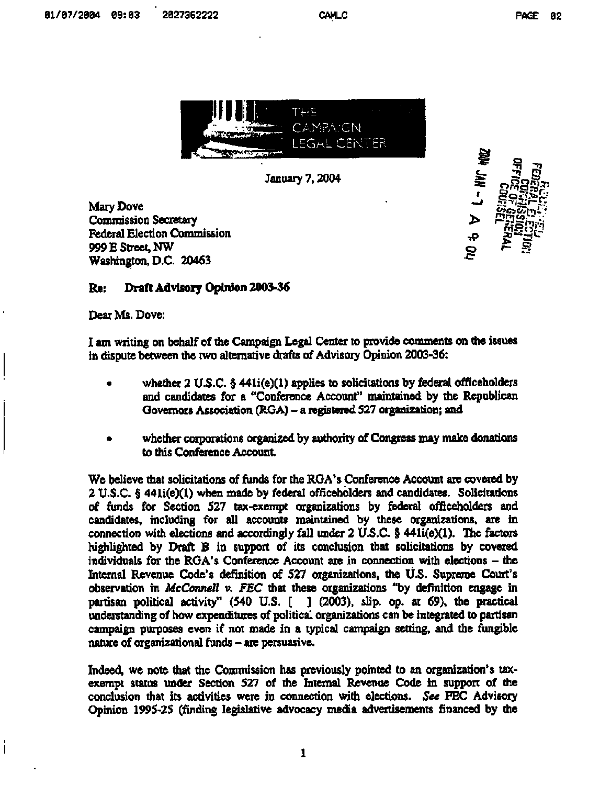



**Mary Dove Commission Secretary Federal Election Commission 999 £ Street, NW Washington, D.C. 20463** 

 $\frac{1}{2}$ 

## **Re: Draft Advisory Opinion 2003-36**

**Dear Ms. Dove:** 

 $\overline{1}$ 

**1 am writing on behalf of the Campaign Legal Center to provide comments on the issues in dispute between the two alternative drafts of Advisory Opinion 2003-36:** 

- **whether 2 U.S.C. § 441i(e)(l) applies to solicitations by federal officeholders and candidates for a "Conference Account" maintained by the Republican Governors Association (RCA) - a registered 527 organization; and**
- **whether corporations organized by authority of Congress may make donations to this Conference Account.**

**We believe that solicitations of funds for the RGA's Conference Account are covered by 2 U.S.C. § 441i(e)(l) when made by federal officeholders and candidates. Solicitations of funds for Section 527 tax-exempt organizations by federal officeholders and candidates, including for all accounts maintained by these organizations, are in connection with elections and accordingly fall under 2 U.S.C. § 441i(e)(l). The factors highlighted by Draft B in support of its conclusion that solicitations by covered individuals for the RGA's Conference Account are in connection with elections - the Internal Revenue Code's definition of 527 organizations, the U.S. Supreme Court's observation in** *McConnell v. FEC* **that these organizations "by definition engage in paziisan political activity" (540 U.S. [ ] (2003), slip. op. at 69), the practical understanding of how expenditures of political organizations can be integrated to partisan campaign purposes even if not made in a typical campaign setting, and the fungible nature of organizational funds - are persuasive.** 

**Indeed, we note that the Commission has previously pointed to an organization's taxexempt status under Section 527 of the Internal Revenue Code in support of the conclusion that its activities were in connection with elections.** *See* **FEC Advisory Opinion 1995-25 (finding legislative advocacy media advertisements financed by the**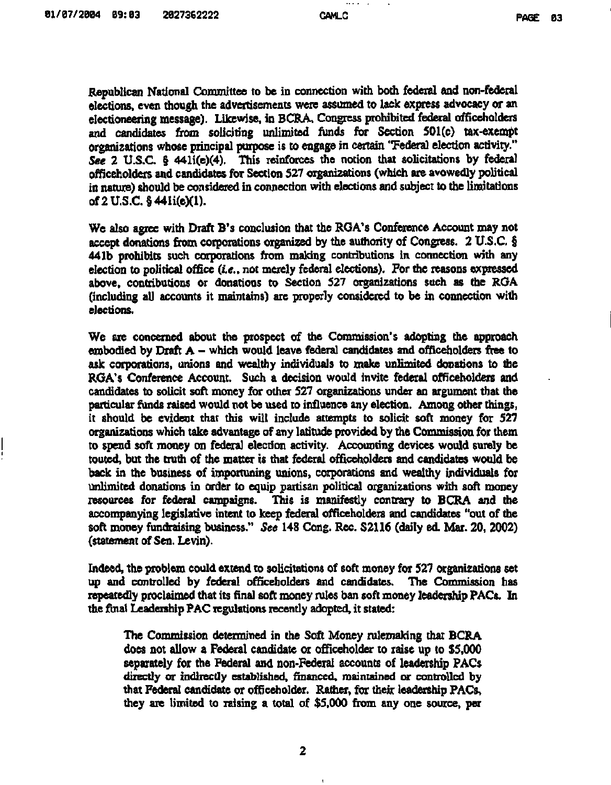**Republican National Committee to be in connection with both federal and non-federal elections, even though the advertisements were assumed to lack express advocacy or an electioneering message). Likewise, in BCRA, Congress prohibited federal officeholders and candidates from soliciting unlimited funds for Section 501(c) tax-exempt organizations whose principal purpose is to engage in certain "Federal election activity."**  *See* **2 U.S.C. § 441i(e)(4). This reinforces the notion that solicitations by federal officeholders and candidates for Section 527 organizations (which are avowedly political in nature) should be considered in connection with elections and subject to the limitations of2U.S.C.§441i(e)(l).** 

**We also agree with Draft B's conclusion that the RGA's Conference Account may not accept donations from corporations organized by the authority of Congress. 2 U.S.C. § 441b prohibits such corporations from making contributions in connection with any election to political office** *(i.e.,* **not merely federal elections). For the reasons expressed above, contributions or donations to Section 527 organizations such as the RGA (including all accounts it maintains) are properly considered to be in connection with elections.** 

**We are concerned about the prospect of the Commission's adopting the approach embodied by Draft A - which would leave federal candidates and officeholders free to ask corporations, unions and wealthy individuals to make unlimited donations to the RGA's Conference Account. Such a decision would invite federal officeholders and candidates to solicit soft money for other 527 organizations under an argument that the particular funds raised would not be used to influence any election. Among other things, it should be evident that this will include attempts to solicit soft money for 527 organizations which take advantage of any latitude provided by the Commission for them to spend soft money on federal election activity. Accounting devices would surely be touted, but the truth of the matter is that federal officeholders and candidates would be back in the business of importuning unions, corporations and wealthy individuals for unlimited donations in order to equip partisan political organizations with soft money resources for federal campaigns. This is manifestly contrary to BCRA and the accompanying legislative intent to keep federal officeholders and candidates "out of the soft money fundraising business."** *See* **148 Cong. Rec. \$2116 (daily ed. Mar. 20, 2002) (statement of Sen. Levin).** 

**Indeed, the problem could extend to solicitations of soft money for 527 organizations set up and controlled by federal officeholders and candidates. The Commission has repeatedly proclaimed that its final soft money rules ban soft money leadership PACs. In the final Leadership PAC regulations recently adopted, it stated:** 

**The Commission determined in the Soft Money rulemaking that BCRA does not allow a Federal candidate or officeholder to raise up to \$5,000 separately for the Federal and non-Federal accounts of leadership PACs directly or indirectly established, financed, maintained or controlled by that Federal candidate or officeholder. Rather, for their leadership PACs, they are limited to raising a total of \$5,000 from any one source, per**